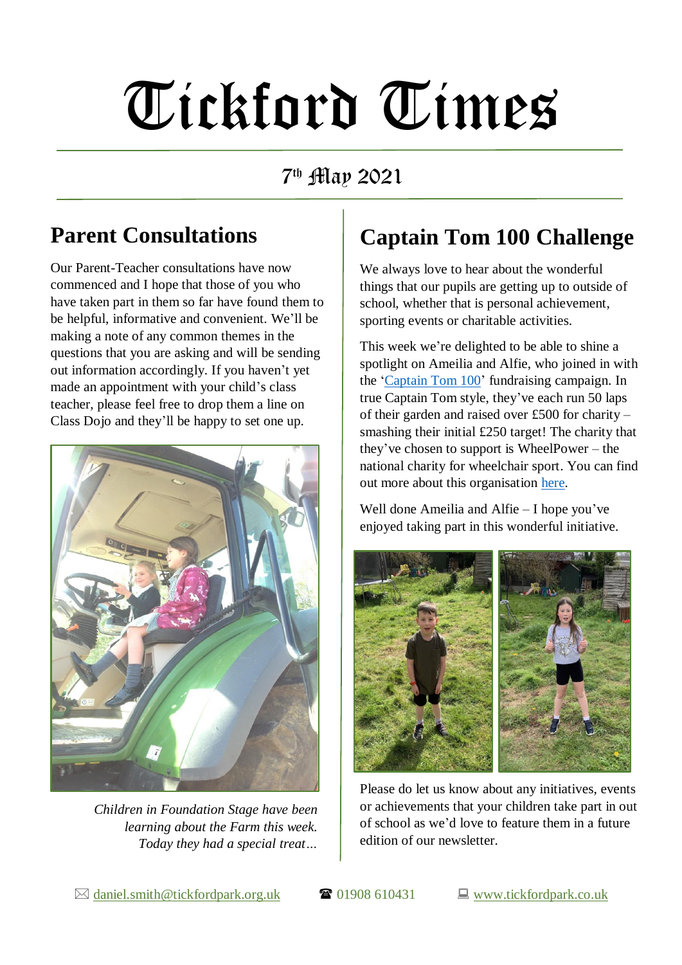# Tickford Times

7 th May 2021

## **Parent Consultations**

Our Parent-Teacher consultations have now commenced and I hope that those of you who have taken part in them so far have found them to be helpful, informative and convenient. We'll be making a note of any common themes in the questions that you are asking and will be sending out information accordingly. If you haven't yet made an appointment with your child's class teacher, please feel free to drop them a line on Class Dojo and they'll be happy to set one up.



*Children in Foundation Stage have been learning about the Farm this week. Today they had a special treat…*

## **Captain Tom 100 Challenge**

We always love to hear about the wonderful things that our pupils are getting up to outside of school, whether that is personal achievement, sporting events or charitable activities.

This week we're delighted to be able to shine a spotlight on Ameilia and Alfie, who joined in with the ['Captain Tom 100'](https://captaintom.org/captain-tom-100) fundraising campaign. In true Captain Tom style, they've each run 50 laps of their garden and raised over £500 for charity – smashing their initial £250 target! The charity that they've chosen to support is WheelPower – the national charity for wheelchair sport. You can find out more about this organisation [here.](https://www.wheelpower.org.uk/)

Well done Ameilia and Alfie – I hope you've enjoyed taking part in this wonderful initiative.



Please do let us know about any initiatives, events or achievements that your children take part in out of school as we'd love to feature them in a future edition of our newsletter.